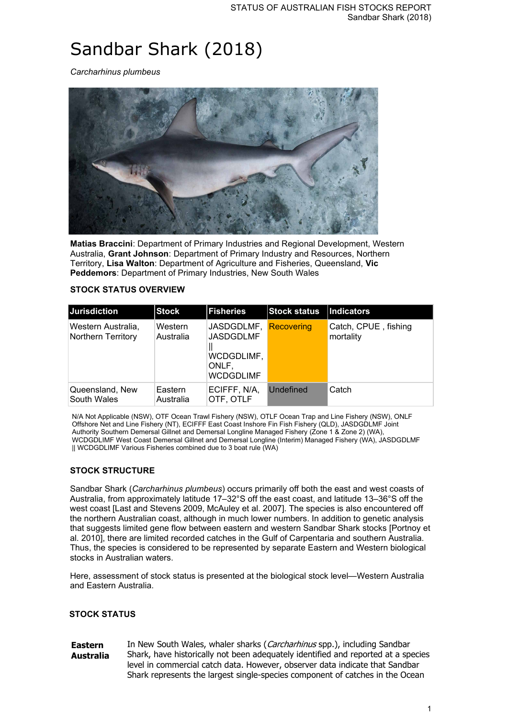# Sandbar Shark (2018)

*Carcharhinus plumbeus*



**Matias Braccini**: Department of Primary Industries and Regional Development, Western Australia, **Grant Johnson**: Department of Primary Industry and Resources, Northern Territory, **Lisa Walton**: Department of Agriculture and Fisheries, Queensland, **Vic Peddemors**: Department of Primary Industries, New South Wales

#### **STOCK STATUS OVERVIEW**

| <b>Jurisdiction</b>                      | <b>Stock</b>         | <b>Fisheries</b>                                                          | <b>Stock status</b> | Indicators                        |
|------------------------------------------|----------------------|---------------------------------------------------------------------------|---------------------|-----------------------------------|
| Western Australia,<br>Northern Territory | Western<br>Australia | JASDGDLMF,<br><b>JASDGDLMF</b><br>WCDGDLIMF,<br>ONLF.<br><b>WCDGDLIMF</b> | Recovering          | Catch, CPUE, fishing<br>mortality |
| Queensland, New<br>South Wales           | Eastern<br>Australia | ECIFFF, N/A,<br>OTF, OTLF                                                 | Undefined           | Catch                             |

N/A Not Applicable (NSW), OTF Ocean Trawl Fishery (NSW), OTLF Ocean Trap and Line Fishery (NSW), ONLF Offshore Net and Line Fishery (NT), ECIFFF East Coast Inshore Fin Fish Fishery (QLD), JASDGDLMF Joint Authority Southern Demersal Gillnet and Demersal Longline Managed Fishery (Zone 1 & Zone 2) (WA), WCDGDLIMF West Coast Demersal Gillnet and Demersal Longline (Interim) Managed Fishery (WA), JASDGDLMF || WCDGDLIMF Various Fisheries combined due to 3 boat rule (WA)

#### **STOCK STRUCTURE**

Sandbar Shark (*Carcharhinus plumbeus*) occurs primarily off both the east and west coasts of Australia, from approximately latitude 17–32°S off the east coast, and latitude 13–36°S off the west coast [Last and Stevens 2009, McAuley et al. 2007]. The species is also encountered off the northern Australian coast, although in much lower numbers. In addition to genetic analysis that suggests limited gene flow between eastern and western Sandbar Shark stocks [Portnoy et al. 2010], there are limited recorded catches in the Gulf of Carpentaria and southern Australia. Thus, the species is considered to be represented by separate Eastern and Western biological stocks in Australian waters.

Here, assessment of stock status is presented at the biological stock level—Western Australia and Eastern Australia.

#### **STOCK STATUS**

#### **Eastern Australia** In New South Wales, whaler sharks (Carcharhinus spp.), including Sandbar Shark, have historically not been adequately identified and reported at a species level in commercial catch data. However, observer data indicate that Sandbar Shark represents the largest single-species component of catches in the Ocean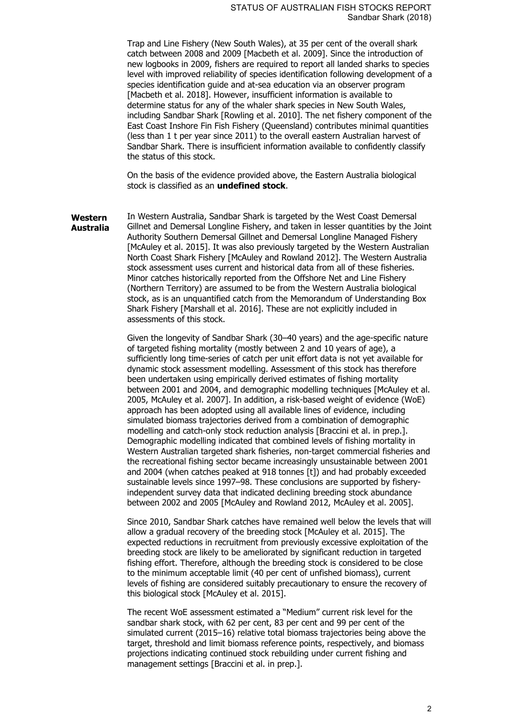Trap and Line Fishery (New South Wales), at 35 per cent of the overall shark catch between 2008 and 2009 [Macbeth et al. 2009]. Since the introduction of new logbooks in 2009, fishers are required to report all landed sharks to species level with improved reliability of species identification following development of a species identification guide and at-sea education via an observer program [Macbeth et al. 2018]. However, insufficient information is available to determine status for any of the whaler shark species in New South Wales, including Sandbar Shark [Rowling et al. 2010]. The net fishery component of the East Coast Inshore Fin Fish Fishery (Queensland) contributes minimal quantities (less than 1 t per year since 2011) to the overall eastern Australian harvest of Sandbar Shark. There is insufficient information available to confidently classify the status of this stock.

On the basis of the evidence provided above, the Eastern Australia biological stock is classified as an **undefined stock**.

**Western Australia** In Western Australia, Sandbar Shark is targeted by the West Coast Demersal Gillnet and Demersal Longline Fishery, and taken in lesser quantities by the Joint Authority Southern Demersal Gillnet and Demersal Longline Managed Fishery [McAuley et al. 2015]. It was also previously targeted by the Western Australian North Coast Shark Fishery [McAuley and Rowland 2012]. The Western Australia stock assessment uses current and historical data from all of these fisheries. Minor catches historically reported from the Offshore Net and Line Fishery (Northern Territory) are assumed to be from the Western Australia biological stock, as is an unquantified catch from the Memorandum of Understanding Box Shark Fishery [Marshall et al. 2016]. These are not explicitly included in assessments of this stock.

> Given the longevity of Sandbar Shark (30–40 years) and the age-specific nature of targeted fishing mortality (mostly between 2 and 10 years of age), a sufficiently long time-series of catch per unit effort data is not yet available for dynamic stock assessment modelling. Assessment of this stock has therefore been undertaken using empirically derived estimates of fishing mortality between 2001 and 2004, and demographic modelling techniques [McAuley et al. 2005, McAuley et al. 2007]. In addition, a risk-based weight of evidence (WoE) approach has been adopted using all available lines of evidence, including simulated biomass trajectories derived from a combination of demographic modelling and catch-only stock reduction analysis [Braccini et al. in prep.]. Demographic modelling indicated that combined levels of fishing mortality in Western Australian targeted shark fisheries, non-target commercial fisheries and the recreational fishing sector became increasingly unsustainable between 2001 and 2004 (when catches peaked at 918 tonnes [t]) and had probably exceeded sustainable levels since 1997–98. These conclusions are supported by fisheryindependent survey data that indicated declining breeding stock abundance between 2002 and 2005 [McAuley and Rowland 2012, McAuley et al. 2005].

> Since 2010, Sandbar Shark catches have remained well below the levels that will allow a gradual recovery of the breeding stock [McAuley et al. 2015]. The expected reductions in recruitment from previously excessive exploitation of the breeding stock are likely to be ameliorated by significant reduction in targeted fishing effort. Therefore, although the breeding stock is considered to be close to the minimum acceptable limit (40 per cent of unfished biomass), current levels of fishing are considered suitably precautionary to ensure the recovery of this biological stock [McAuley et al. 2015].

The recent WoE assessment estimated a "Medium" current risk level for the sandbar shark stock, with 62 per cent, 83 per cent and 99 per cent of the simulated current (2015–16) relative total biomass trajectories being above the target, threshold and limit biomass reference points, respectively, and biomass projections indicating continued stock rebuilding under current fishing and management settings [Braccini et al. in prep.].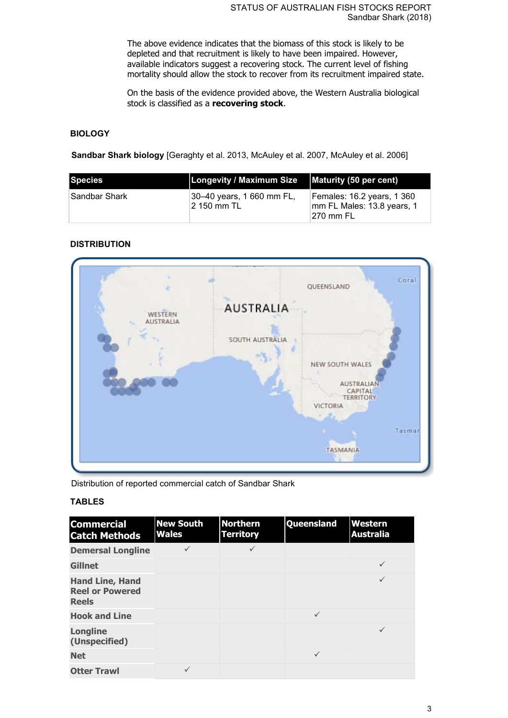The above evidence indicates that the biomass of this stock is likely to be depleted and that recruitment is likely to have been impaired. However, available indicators suggest a recovering stock. The current level of fishing mortality should allow the stock to recover from its recruitment impaired state.

On the basis of the evidence provided above, the Western Australia biological stock is classified as a **recovering stock**.

#### **BIOLOGY**

**Sandbar Shark biology** [Geraghty et al. 2013, McAuley et al. 2007, McAuley et al. 2006]

| Species        | <b>Longevity / Maximum Size</b>           | Maturity (50 per cent)                                                 |
|----------------|-------------------------------------------|------------------------------------------------------------------------|
| ∣Sandbar Shark | 30–40 years, 1 660 mm FL,<br>12 150 mm TL | Females: 16.2 years, 1 360<br>mm FL Males: 13.8 years, 1<br>⊺270 mm FL |

### **DISTRIBUTION**



Distribution of reported commercial catch of Sandbar Shark

#### **TABLES**

| <b>Commercial</b><br><b>Catch Methods</b>                        | <b>New South</b><br><b>Wales</b> | <b>Northern</b><br><b>Territory</b> | Queensland   | Western<br><b>Australia</b> |
|------------------------------------------------------------------|----------------------------------|-------------------------------------|--------------|-----------------------------|
| <b>Demersal Longline</b>                                         |                                  |                                     |              |                             |
| <b>Gillnet</b>                                                   |                                  |                                     |              | $\checkmark$                |
| <b>Hand Line, Hand</b><br><b>Reel or Powered</b><br><b>Reels</b> |                                  |                                     |              |                             |
| <b>Hook and Line</b>                                             |                                  |                                     | $\checkmark$ |                             |
| <b>Longline</b><br>(Unspecified)                                 |                                  |                                     |              | $\checkmark$                |
| <b>Net</b>                                                       |                                  |                                     | $\checkmark$ |                             |
| <b>Otter Trawl</b>                                               |                                  |                                     |              |                             |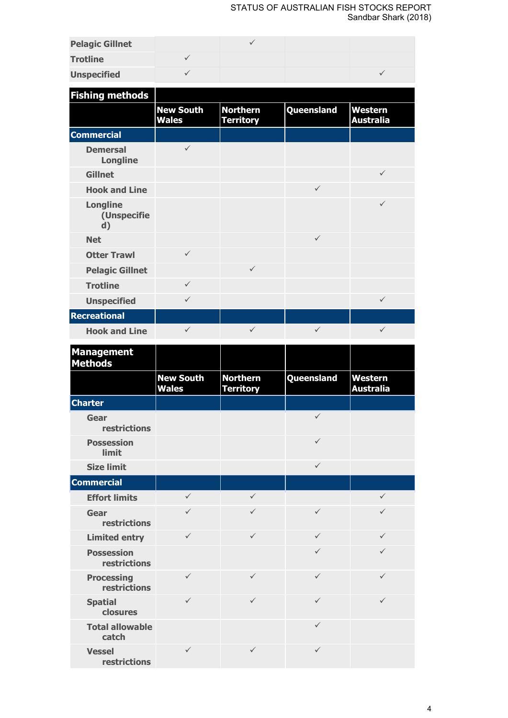#### STATUS OF AUSTRALIAN FISH STOCKS REPORT Sandbar Shark (2018)

| <b>Pelagic Gillnet</b> |  |  |
|------------------------|--|--|
| <b>Trotline</b>        |  |  |
| <b>Unspecified</b>     |  |  |

| <b>Fishing methods</b>               |                                  |                                     |              |                                    |
|--------------------------------------|----------------------------------|-------------------------------------|--------------|------------------------------------|
|                                      | <b>New South</b><br><b>Wales</b> | <b>Northern</b><br><b>Territory</b> | Queensland   | <b>Western</b><br><b>Australia</b> |
| <b>Commercial</b>                    |                                  |                                     |              |                                    |
| <b>Demersal</b><br><b>Longline</b>   | $\checkmark$                     |                                     |              |                                    |
| <b>Gillnet</b>                       |                                  |                                     |              | $\checkmark$                       |
| <b>Hook and Line</b>                 |                                  |                                     | $\checkmark$ |                                    |
| <b>Longline</b><br>(Unspecifie<br>d) |                                  |                                     |              | $\checkmark$                       |
| <b>Net</b>                           |                                  |                                     | $\checkmark$ |                                    |
| <b>Otter Trawl</b>                   | $\checkmark$                     |                                     |              |                                    |
| <b>Pelagic Gillnet</b>               |                                  | $\checkmark$                        |              |                                    |
| <b>Trotline</b>                      | $\checkmark$                     |                                     |              |                                    |
| <b>Unspecified</b>                   | $\checkmark$                     |                                     |              | $\checkmark$                       |
| <b>Recreational</b>                  |                                  |                                     |              |                                    |
| <b>Hook and Line</b>                 | $\checkmark$                     | ✓                                   | ✓            | $\checkmark$                       |

| <b>Management</b><br><b>Methods</b>      |                                  |                                     |              |                                    |
|------------------------------------------|----------------------------------|-------------------------------------|--------------|------------------------------------|
|                                          | <b>New South</b><br><b>Wales</b> | <b>Northern</b><br><b>Territory</b> | Queensland   | <b>Western</b><br><b>Australia</b> |
| <b>Charter</b>                           |                                  |                                     |              |                                    |
| Gear<br>restrictions                     |                                  |                                     | $\checkmark$ |                                    |
| <b>Possession</b><br><b>limit</b>        |                                  |                                     | $\checkmark$ |                                    |
| <b>Size limit</b>                        |                                  |                                     | $\checkmark$ |                                    |
| <b>Commercial</b>                        |                                  |                                     |              |                                    |
| <b>Effort limits</b>                     | $\checkmark$                     | $\checkmark$                        |              | $\checkmark$                       |
| Gear<br>restrictions                     | $\checkmark$                     | $\checkmark$                        | $\checkmark$ | ✓                                  |
| <b>Limited entry</b>                     | $\checkmark$                     | $\checkmark$                        | $\checkmark$ | $\checkmark$                       |
| <b>Possession</b><br><b>restrictions</b> |                                  |                                     | $\checkmark$ | $\checkmark$                       |
| <b>Processing</b><br><b>restrictions</b> | $\checkmark$                     | $\checkmark$                        | $\checkmark$ | $\checkmark$                       |
| <b>Spatial</b><br>closures               | ✓                                | ✓                                   | $\checkmark$ | $\checkmark$                       |
| <b>Total allowable</b><br>catch          |                                  |                                     | $\checkmark$ |                                    |
| <b>Vessel</b><br>restrictions            | ✓                                | $\checkmark$                        | $\checkmark$ |                                    |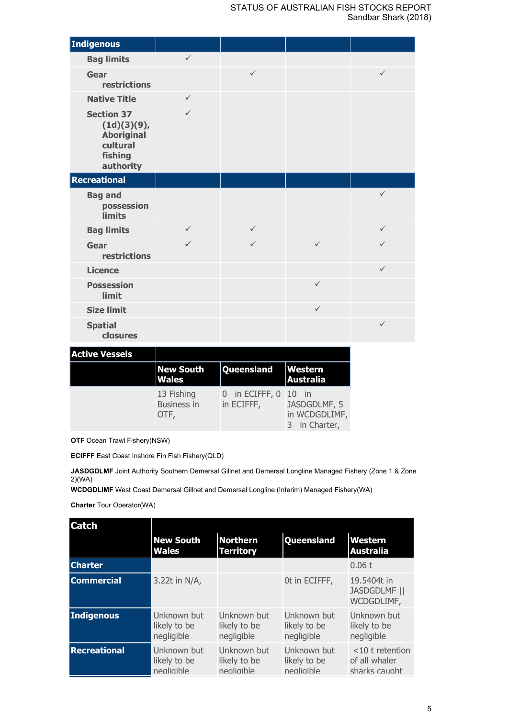| Indigenous                                                                                |              |              |              |              |
|-------------------------------------------------------------------------------------------|--------------|--------------|--------------|--------------|
| <b>Bag limits</b>                                                                         | $\checkmark$ |              |              |              |
| Gear<br>restrictions                                                                      |              | $\checkmark$ |              | $\checkmark$ |
| <b>Native Title</b>                                                                       | $\checkmark$ |              |              |              |
| <b>Section 37</b><br>(1d)(3)(9),<br><b>Aboriginal</b><br>cultural<br>fishing<br>authority | $\checkmark$ |              |              |              |
| Recreational                                                                              |              |              |              |              |
| <b>Bag and</b><br>possession<br><b>limits</b>                                             |              |              |              | $\checkmark$ |
| <b>Bag limits</b>                                                                         | $\checkmark$ | $\checkmark$ |              | $\checkmark$ |
| Gear<br>restrictions                                                                      | $\checkmark$ | $\checkmark$ | $\checkmark$ | $\checkmark$ |
| <b>Licence</b>                                                                            |              |              |              | $\checkmark$ |
| <b>Possession</b><br>limit                                                                |              |              | $\checkmark$ |              |
| <b>Size limit</b>                                                                         |              |              | $\checkmark$ |              |
| <b>Spatial</b><br>closures                                                                |              |              |              | $\checkmark$ |

| <b>Active Vessels</b> |                                          |                                    |                                                |
|-----------------------|------------------------------------------|------------------------------------|------------------------------------------------|
|                       | <b>New South</b><br><b>Wales</b>         | Queensland                         | <b>Western</b><br>Australia                    |
|                       | 13 Fishing<br><b>Business in</b><br>OTF, | in ECIFFF, $0$ 10 in<br>in ECIFFF, | JASDGDLMF, 5<br>in WCDGDLIMF,<br>3 in Charter, |

**OTF** Ocean Trawl Fishery(NSW)

**ECIFFF** East Coast Inshore Fin Fish Fishery(QLD)

JASDGDLMF Joint Authority Southern Demersal Gillnet and Demersal Longline Managed Fishery (Zone 1 & Zone 2)(WA)

**WCDGDLIMF** West Coast Demersal Gillnet and Demersal Longline (Interim) Managed Fishery(WA)

**Charter** Tour Operator(WA)

| <b>Catch</b>        |                                           |                                           |                                           |                                                      |
|---------------------|-------------------------------------------|-------------------------------------------|-------------------------------------------|------------------------------------------------------|
|                     | <b>New South</b><br><b>Wales</b>          | <b>Northern</b><br><b>Territory</b>       | Queensland                                | Western<br><b>Australia</b>                          |
| <b>Charter</b>      |                                           |                                           |                                           | 0.06t                                                |
| <b>Commercial</b>   | 3.22t in N/A,                             |                                           | Ot in ECIFFF,                             | 19.5404t in<br><b>JASDGDLMF   </b><br>WCDGDLIMF,     |
| Indigenous          | Unknown but<br>likely to be<br>negligible | Unknown but<br>likely to be<br>negligible | Unknown but<br>likely to be<br>negligible | Unknown but<br>likely to be<br>negligible            |
| <b>Recreational</b> | Unknown but<br>likely to be<br>nealiaible | Unknown but<br>likely to be<br>nealiaible | Unknown but<br>likely to be<br>nealiaible | $<$ 10 t retention<br>of all whaler<br>sharks caught |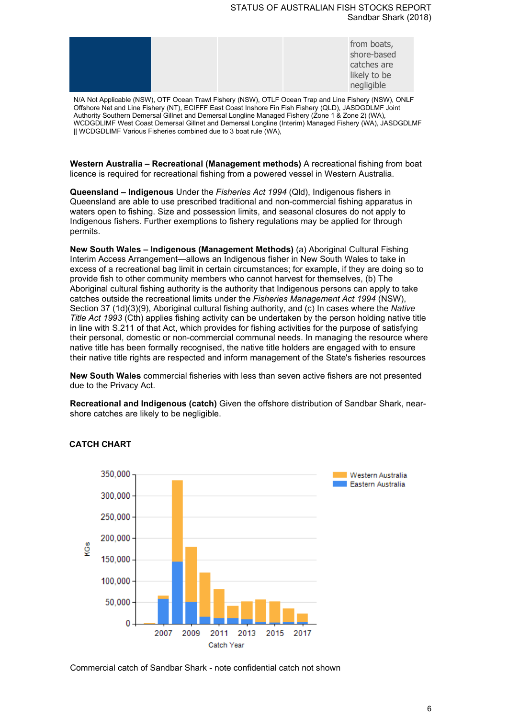#### STATUS OF AUSTRALIAN FISH STOCKS REPORT Sandbar Shark (2018)

|  |  |  |  | from boats,<br>shore-based<br>catches are<br>likely to be<br>negligible |
|--|--|--|--|-------------------------------------------------------------------------|
|--|--|--|--|-------------------------------------------------------------------------|

N/A Not Applicable (NSW), OTF Ocean Trawl Fishery (NSW), OTLF Ocean Trap and Line Fishery (NSW), ONLF Offshore Net and Line Fishery (NT), ECIFFF East Coast Inshore Fin Fish Fishery (QLD), JASDGDLMF Joint Authority Southern Demersal Gillnet and Demersal Longline Managed Fishery (Zone 1 & Zone 2) (WA), WCDGDLIMF West Coast Demersal Gillnet and Demersal Longline (Interim) Managed Fishery (WA), JASDGDLMF || WCDGDLIMF Various Fisheries combined due to 3 boat rule (WA),

**Western Australia – Recreational (Management methods)** A recreational fishing from boat licence is required for recreational fishing from a powered vessel in Western Australia.

**Queensland – Indigenous** Under the *Fisheries Act 1994* (Qld), Indigenous fishers in Queensland are able to use prescribed traditional and non-commercial fishing apparatus in waters open to fishing. Size and possession limits, and seasonal closures do not apply to Indigenous fishers. Further exemptions to fishery regulations may be applied for through permits.

**New South Wales – Indigenous (Management Methods)** (a) Aboriginal Cultural Fishing Interim Access Arrangement—allows an Indigenous fisher in New South Wales to take in excess of a recreational bag limit in certain circumstances; for example, if they are doing so to provide fish to other community members who cannot harvest for themselves, (b) The Aboriginal cultural fishing authority is the authority that Indigenous persons can apply to take catches outside the recreational limits under the *Fisheries Management Act 1994* (NSW), Section 37 (1d)(3)(9), Aboriginal cultural fishing authority, and (c) In cases where the *Native Title Act 1993* (Cth) applies fishing activity can be undertaken by the person holding native title in line with S.211 of that Act, which provides for fishing activities for the purpose of satisfying their personal, domestic or non-commercial communal needs. In managing the resource where native title has been formally recognised, the native title holders are engaged with to ensure their native title rights are respected and inform management of the State's fisheries resources

**New South Wales** commercial fisheries with less than seven active fishers are not presented due to the Privacy Act.

**Recreational and Indigenous (catch)** Given the offshore distribution of Sandbar Shark, nearshore catches are likely to be negligible.



#### **CATCH CHART**

Commercial catch of Sandbar Shark - note confidential catch not shown